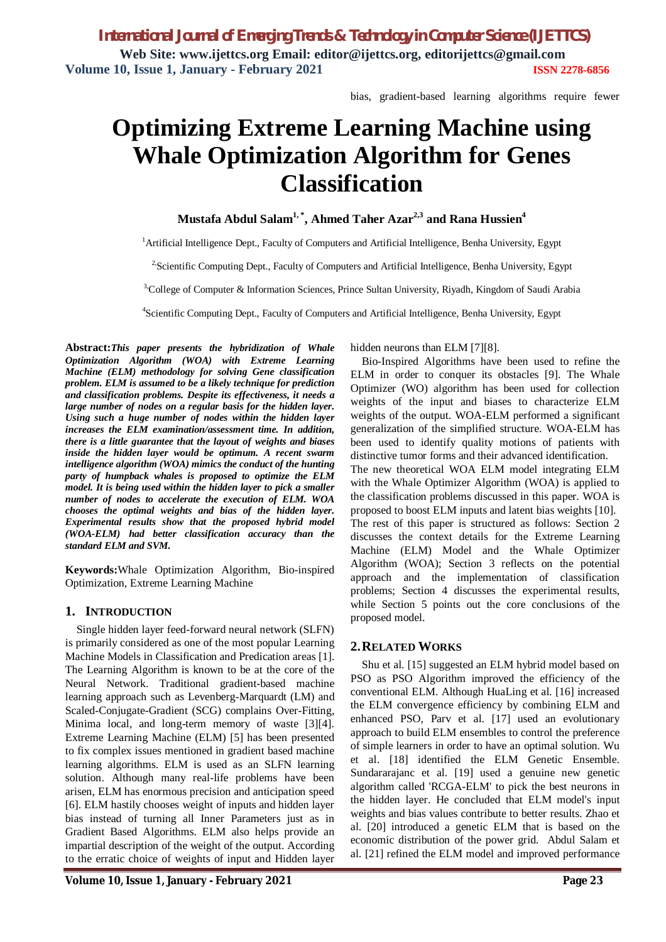bias, gradient-based learning algorithms require fewer

# **Optimizing Extreme Learning Machine using Whale Optimization Algorithm for Genes Classification**

**Mustafa Abdul Salam1, \* , Ahmed Taher Azar2,3 and Rana Hussien<sup>4</sup>**

<sup>1</sup> Artificial Intelligence Dept., Faculty of Computers and Artificial Intelligence, Benha University, Egypt

<sup>2</sup>Scientific Computing Dept., Faculty of Computers and Artificial Intelligence, Benha University, Egypt

 $3$ College of Computer & Information Sciences, Prince Sultan University, Rivadh, Kingdom of Saudi Arabia

4 Scientific Computing Dept., Faculty of Computers and Artificial Intelligence, Benha University, Egypt

**Abstract:***This paper presents the hybridization of Whale Optimization Algorithm (WOA) with Extreme Learning Machine (ELM) methodology for solving Gene classification problem. ELM is assumed to be a likely technique for prediction and classification problems. Despite its effectiveness, it needs a large number of nodes on a regular basis for the hidden layer. Using such a huge number of nodes within the hidden layer increases the ELM examination/assessment time. In addition, there is a little guarantee that the layout of weights and biases inside the hidden layer would be optimum. A recent swarm intelligence algorithm (WOA) mimics the conduct of the hunting party of humpback whales is proposed to optimize the ELM model. It is being used within the hidden layer to pick a smaller number of nodes to accelerate the execution of ELM. WOA chooses the optimal weights and bias of the hidden layer. Experimental results show that the proposed hybrid model (WOA-ELM) had better classification accuracy than the standard ELM and SVM.*

**Keywords:**Whale Optimization Algorithm, Bio-inspired Optimization, Extreme Learning Machine

#### **1. INTRODUCTION**

Single hidden layer feed-forward neural network (SLFN) is primarily considered as one of the most popular Learning Machine Models in Classification and Predication areas [1]. The Learning Algorithm is known to be at the core of the Neural Network. Traditional gradient-based machine learning approach such as Levenberg-Marquardt (LM) and Scaled-Conjugate-Gradient (SCG) complains Over-Fitting, Minima local, and long-term memory of waste [3][4]. Extreme Learning Machine (ELM) [5] has been presented to fix complex issues mentioned in gradient based machine learning algorithms. ELM is used as an SLFN learning solution. Although many real-life problems have been arisen, ELM has enormous precision and anticipation speed [6]. ELM hastily chooses weight of inputs and hidden layer bias instead of turning all Inner Parameters just as in Gradient Based Algorithms. ELM also helps provide an impartial description of the weight of the output. According to the erratic choice of weights of input and Hidden layer

hidden neurons than ELM [7][8].

Bio-Inspired Algorithms have been used to refine the ELM in order to conquer its obstacles [9]. The Whale Optimizer (WO) algorithm has been used for collection weights of the input and biases to characterize ELM weights of the output. WOA-ELM performed a significant generalization of the simplified structure. WOA-ELM has been used to identify quality motions of patients with distinctive tumor forms and their advanced identification. The new theoretical WOA ELM model integrating ELM with the Whale Optimizer Algorithm (WOA) is applied to the classification problems discussed in this paper. WOA is proposed to boost ELM inputs and latent bias weights [10]. The rest of this paper is structured as follows: Section 2 discusses the context details for the Extreme Learning Machine (ELM) Model and the Whale Optimizer Algorithm (WOA); Section 3 reflects on the potential approach and the implementation of classification problems; Section 4 discusses the experimental results, while Section 5 points out the core conclusions of the proposed model.

#### **2.RELATED WORKS**

Shu et al. [15] suggested an ELM hybrid model based on PSO as PSO Algorithm improved the efficiency of the conventional ELM. Although HuaLing et al. [16] increased the ELM convergence efficiency by combining ELM and enhanced PSO, Parv et al. [17] used an evolutionary approach to build ELM ensembles to control the preference of simple learners in order to have an optimal solution. Wu et al. [18] identified the ELM Genetic Ensemble. Sundararajanc et al. [19] used a genuine new genetic algorithm called 'RCGA-ELM' to pick the best neurons in the hidden layer. He concluded that ELM model's input weights and bias values contribute to better results. Zhao et al. [20] introduced a genetic ELM that is based on the economic distribution of the power grid. Abdul Salam et al. [21] refined the ELM model and improved performance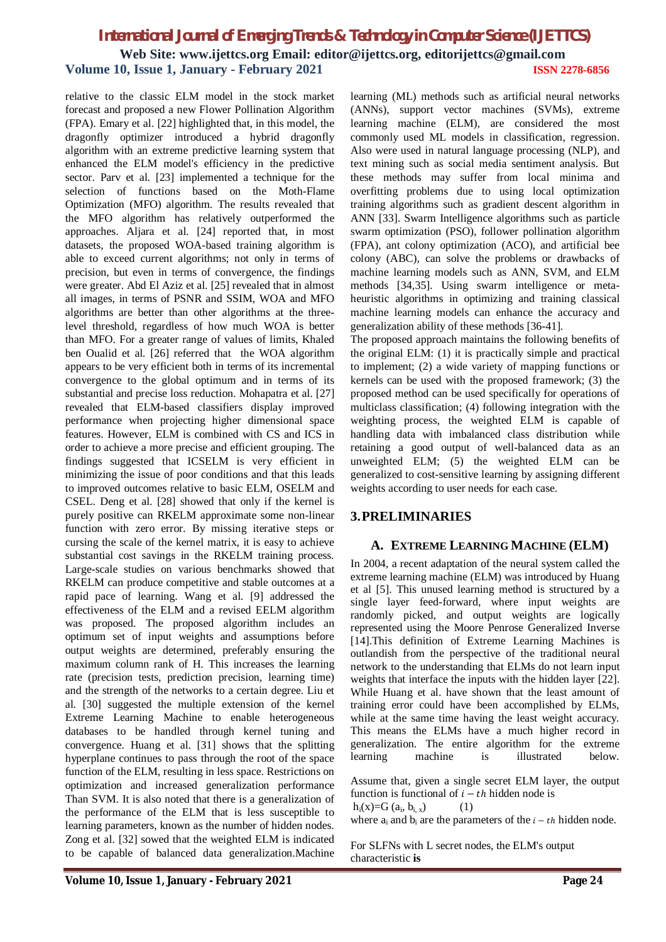relative to the classic ELM model in the stock market forecast and proposed a new Flower Pollination Algorithm (FPA). Emary et al. [22] highlighted that, in this model, the dragonfly optimizer introduced a hybrid dragonfly algorithm with an extreme predictive learning system that enhanced the ELM model's efficiency in the predictive sector. Parv et al. [23] implemented a technique for the selection of functions based on the Moth-Flame Optimization (MFO) algorithm. The results revealed that the MFO algorithm has relatively outperformed the approaches. Aljara et al. [24] reported that, in most datasets, the proposed WOA-based training algorithm is able to exceed current algorithms; not only in terms of precision, but even in terms of convergence, the findings were greater. Abd El Aziz et al. [25] revealed that in almost all images, in terms of PSNR and SSIM, WOA and MFO algorithms are better than other algorithms at the threelevel threshold, regardless of how much WOA is better than MFO. For a greater range of values of limits, Khaled ben Oualid et al. [26] referred that the WOA algorithm appears to be very efficient both in terms of its incremental convergence to the global optimum and in terms of its substantial and precise loss reduction. Mohapatra et al. [27] revealed that ELM-based classifiers display improved performance when projecting higher dimensional space features. However, ELM is combined with CS and ICS in order to achieve a more precise and efficient grouping. The findings suggested that ICSELM is very efficient in minimizing the issue of poor conditions and that this leads to improved outcomes relative to basic ELM, OSELM and CSEL. Deng et al. [28] showed that only if the kernel is purely positive can RKELM approximate some non-linear function with zero error. By missing iterative steps or cursing the scale of the kernel matrix, it is easy to achieve substantial cost savings in the RKELM training process. Large-scale studies on various benchmarks showed that RKELM can produce competitive and stable outcomes at a rapid pace of learning. Wang et al. [9] addressed the effectiveness of the ELM and a revised EELM algorithm was proposed. The proposed algorithm includes an optimum set of input weights and assumptions before output weights are determined, preferably ensuring the maximum column rank of H. This increases the learning rate (precision tests, prediction precision, learning time) and the strength of the networks to a certain degree. Liu et al. [30] suggested the multiple extension of the kernel Extreme Learning Machine to enable heterogeneous databases to be handled through kernel tuning and convergence. Huang et al. [31] shows that the splitting hyperplane continues to pass through the root of the space function of the ELM, resulting in less space. Restrictions on optimization and increased generalization performance Than SVM. It is also noted that there is a generalization of the performance of the ELM that is less susceptible to learning parameters, known as the number of hidden nodes. Zong et al. [32] sowed that the weighted ELM is indicated to be capable of balanced data generalization.Machine

learning (ML) methods such as artificial neural networks (ANNs), support vector machines (SVMs), extreme learning machine (ELM), are considered the most commonly used ML models in classification, regression. Also were used in natural language processing (NLP), and text mining such as social media sentiment analysis. But these methods may suffer from local minima and overfitting problems due to using local optimization training algorithms such as gradient descent algorithm in ANN [33]. Swarm Intelligence algorithms such as particle swarm optimization (PSO), follower pollination algorithm (FPA), ant colony optimization (ACO), and artificial bee colony (ABC), can solve the problems or drawbacks of machine learning models such as ANN, SVM, and ELM methods [34,35]. Using swarm intelligence or metaheuristic algorithms in optimizing and training classical machine learning models can enhance the accuracy and generalization ability of these methods [36-41].

The proposed approach maintains the following benefits of the original ELM: (1) it is practically simple and practical to implement; (2) a wide variety of mapping functions or kernels can be used with the proposed framework; (3) the proposed method can be used specifically for operations of multiclass classification; (4) following integration with the weighting process, the weighted ELM is capable of handling data with imbalanced class distribution while retaining a good output of well-balanced data as an unweighted ELM; (5) the weighted ELM can be generalized to cost-sensitive learning by assigning different weights according to user needs for each case.

# **3.PRELIMINARIES**

#### **A. EXTREME LEARNING MACHINE (ELM)**

In 2004, a recent adaptation of the neural system called the extreme learning machine (ELM) was introduced by Huang et al [5]. This unused learning method is structured by a single layer feed-forward, where input weights are randomly picked, and output weights are logically represented using the Moore Penrose Generalized Inverse [14].This definition of Extreme Learning Machines is outlandish from the perspective of the traditional neural network to the understanding that ELMs do not learn input weights that interface the inputs with the hidden layer [22]. While Huang et al. have shown that the least amount of training error could have been accomplished by ELMs, while at the same time having the least weight accuracy. This means the ELMs have a much higher record in generalization. The entire algorithm for the extreme learning machine is illustrated below.

Assume that, given a single secret ELM layer, the output function is functional of  $i - th$  hidden node is  $h_i(x)=G$   $(a_i, b_{i, x})$  (1)

where  $a_i$  and  $b_i$  are the parameters of the  $i - th$  hidden node.

For SLFNs with L secret nodes, the ELM's output characteristic **is**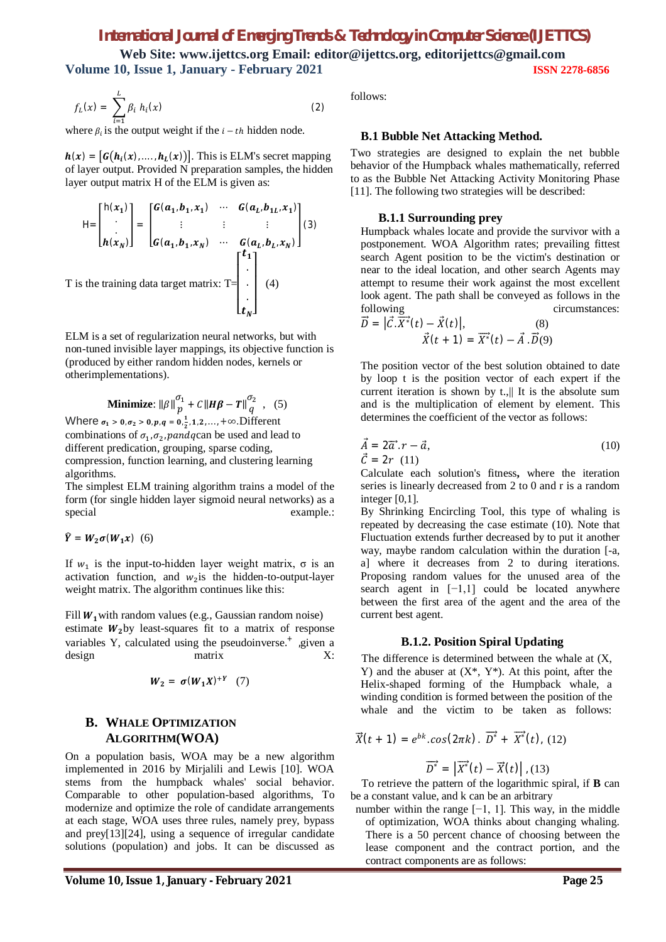# *International Journal of Emerging Trends & Technology in Computer Science (IJETTCS)*

**Web Site: www.ijettcs.org Email: editor@ijettcs.org, editorijettcs@gmail.com Volume 10, Issue 1, January - February 2021 ISSN 2278-6856**

$$
f_L(x) = \sum_{i=1}^{L} \beta_i h_i(x)
$$
 (2)

where  $\beta_i$  is the output weight if the  $i - th$  hidden node.

 $h(x) = [G(h_i(x),...,h_i(x))]$ . This is ELM's secret mapping of layer output. Provided N preparation samples, the hidden layer output matrix H of the ELM is given as:

$$
H = \begin{bmatrix} h(x_1) \\ \vdots \\ h(x_N) \end{bmatrix} = \begin{bmatrix} G(a_1, b_1, x_1) & \cdots & G(a_L, b_{1L}, x_1) \\ \vdots & \vdots & \vdots \\ G(a_1, b_1, x_N) & \cdots & G(a_L, b_L, x_N) \end{bmatrix}
$$
\n(3)

\nT is the training data target matrix: T = \begin{bmatrix} t\_1 \\ \vdots \\ t\_N \end{bmatrix}

ELM is a set of regularization neural networks, but with non-tuned invisible layer mappings, its objective function is (produced by either random hidden nodes, kernels or otherimplementations).

**Minimize:** 
$$
\|\beta\|_{p}^{\sigma_1} + C\|H\beta - T\|_{q}^{\sigma_2},
$$
 (5)  
Where  $\sigma_1 > 0$ ,  $\sigma_2 > 0$ ,  $p$ ,  $q = 0$ ,  $\frac{1}{2}$ , 1, 2, ..., + $\infty$ . Different

combinations of  $\sigma_1$ ,  $\sigma_2$ , pand q can be used and lead to different predication, grouping, sparse coding, compression, function learning, and clustering learning algorithms.

The simplest ELM training algorithm trains a model of the form (for single hidden layer sigmoid neural networks) as a special example.:

$$
\widehat{Y} = W_2 \sigma(W_1 x) \quad (6)
$$

If  $w_1$  is the input-to-hidden layer weight matrix,  $\sigma$  is an activation function, and  $w_2$  is the hidden-to-output-layer weight matrix. The algorithm continues like this:

Fill  $W_1$  with random values (e.g., Gaussian random noise) estimate  $W_2$ by least-squares fit to a matrix of response variables Y, calculated using the pseudoinverse.<sup>+</sup> ,given a design matrix X:

$$
W_2 = \sigma(W_1X)^{+Y} \quad (7)
$$

### **B. WHALE OPTIMIZATION ALGORITHM(WOA)**

On a population basis, WOA may be a new algorithm implemented in 2016 by Mirjalili and Lewis [10]. WOA stems from the humpback whales' social behavior. Comparable to other population-based algorithms, To modernize and optimize the role of candidate arrangements at each stage, WOA uses three rules, namely prey, bypass and prey[13][24], using a sequence of irregular candidate solutions (population) and jobs. It can be discussed as

follows:

#### **B.1 Bubble Net Attacking Method.**

Two strategies are designed to explain the net bubble behavior of the Humpback whales mathematically, referred to as the Bubble Net Attacking Activity Monitoring Phase [11]. The following two strategies will be described:

#### **B.1.1 Surrounding prey**

Humpback whales locate and provide the survivor with a postponement. WOA Algorithm rates; prevailing fittest search Agent position to be the victim's destination or near to the ideal location, and other search Agents may attempt to resume their work against the most excellent look agent. The path shall be conveyed as follows in the following circumstances:

$$
\vec{D} = \left| \vec{C} \cdot \overrightarrow{X^*}(t) - \vec{X}(t) \right|, \tag{8}
$$
\n
$$
\vec{X}(t+1) = \overrightarrow{X^*}(t) - \vec{A} \cdot \vec{D}(9)
$$

The position vector of the best solution obtained to date by loop t is the position vector of each expert if the current iteration is shown by t.,|| It is the absolute sum and is the multiplication of element by element. This determines the coefficient of the vector as follows:

$$
\vec{A} = 2\vec{a} \cdot r - \vec{a},
$$
  
\n
$$
\vec{C} = 2r \quad (11)
$$
\n(10)

Calculate each solution's fitness**,** where the iteration series is linearly decreased from 2 to 0 and r is a random integer [0,1].

By Shrinking Encircling Tool, this type of whaling is repeated by decreasing the case estimate (10). Note that Fluctuation extends further decreased by to put it another way, maybe random calculation within the duration [-a, a] where it decreases from 2 to during iterations. Proposing random values for the unused area of the search agent in [−1,1] could be located anywhere between the first area of the agent and the area of the current best agent.

#### **B.1.2. Position Spiral Updating**

 The difference is determined between the whale at (X, Y) and the abuser at  $(X^*, Y^*)$ . At this point, after the Helix-shaped forming of the Humpback whale, a winding condition is formed between the position of the whale and the victim to be taken as follows:

$$
\vec{X}(t+1) = e^{bk} \cdot \cos(2\pi k) \cdot \vec{D^*} + \vec{X^*}(t), \quad (12)
$$

$$
\overrightarrow{D^*} = \left| \overrightarrow{X^*}(t) - \overrightarrow{X}(t) \right|, (13)
$$

 To retrieve the pattern of the logarithmic spiral, if **B** can be a constant value, and k can be an arbitrary

number within the range  $[-1, 1]$ . This way, in the middle of optimization, WOA thinks about changing whaling. There is a 50 percent chance of choosing between the lease component and the contract portion, and the contract components are as follows: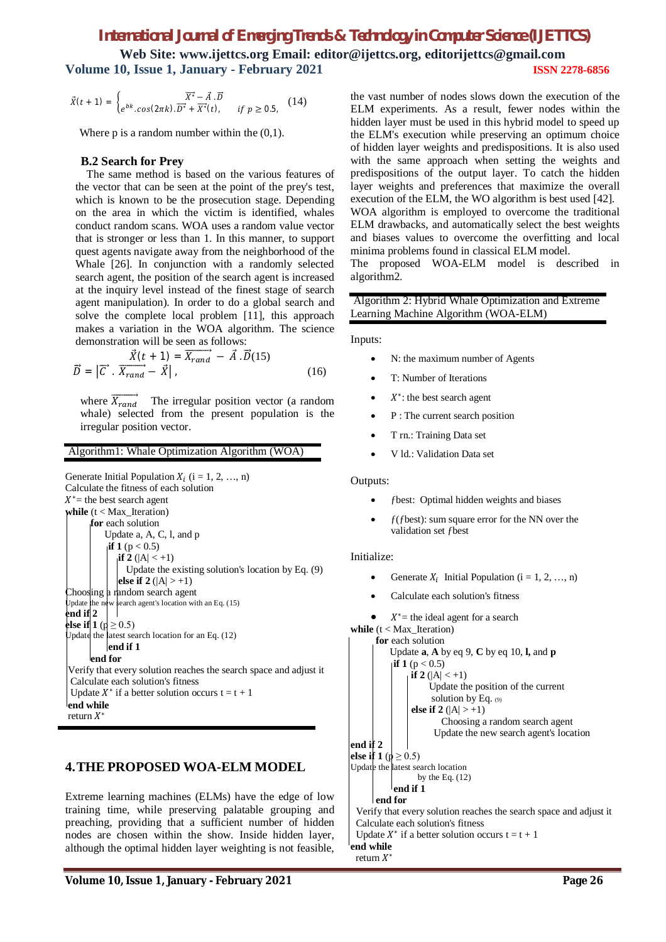# *International Journal of Emerging Trends & Technology in Computer Science (IJETTCS)* **Web Site: www.ijettcs.org Email: editor@ijettcs.org, editorijettcs@gmail.com**

**Volume 10, Issue 1, January - February 2021 ISSN 2278-6856**

$$
\vec{X}(t+1) = \begin{cases} \overrightarrow{X^*} - \vec{A} \cdot \vec{D} \\ e^{bk} \cdot \cos(2\pi k) \cdot \overrightarrow{D^*} + \overrightarrow{X^*}(t), & \text{if } p \ge 0.5, \end{cases}
$$
(14)

Where  $p$  is a random number within the  $(0,1)$ .

### **B.2 Search for Prey**

 The same method is based on the various features of the vector that can be seen at the point of the prey's test, which is known to be the prosecution stage. Depending on the area in which the victim is identified, whales conduct random scans. WOA uses a random value vector that is stronger or less than 1. In this manner, to support quest agents navigate away from the neighborhood of the Whale [26]. In conjunction with a randomly selected search agent, the position of the search agent is increased at the inquiry level instead of the finest stage of search agent manipulation). In order to do a global search and solve the complete local problem [11], this approach makes a variation in the WOA algorithm. The science demonstration will be seen as follows:

$$
\vec{D} = \left| \vec{C} \cdot \overrightarrow{X_{rand}} - \vec{X} \right|, \qquad (16)
$$
\n
$$
\vec{D} = \left| \vec{C} \cdot \overrightarrow{X_{rand}} - \vec{X} \right|,
$$

where  $X_{rand}$  The irregular position vector (a random whale) selected from the present population is the irregular position vector.

#### Algorithm1: Whale Optimization Algorithm (WOA)

Generate Initial Population  $X_i$  (i = 1, 2, ..., n) Calculate the fitness of each solution  $X^*$  = the best search agent **while**  $(t < Max$  Iteration)  **for** each solution Update a, A, C, l, and p **if 1** ( $p < 0.5$ ) **if 2** ( $|A| < +1$ ) Update the existing solution's location by Eq. (9) **else if 2** ( $|A| > +1$ ) Choosing a random search agent Update the new search agent's location with an Eq. (15) **end if 2 else if 1** ( $p \ge 0.5$ ) Update the latest search location for an Eq. (12) end if 1  **end for**  Verify that every solution reaches the search space and adjust it Calculate each solution's fitness Update  $X^*$  if a better solution occurs  $t = t + 1$ **end while** return  $X^*$ 

# **4.THE PROPOSED WOA-ELM MODEL**

Extreme learning machines (ELMs) have the edge of low training time, while preserving palatable grouping and preaching, providing that a sufficient number of hidden nodes are chosen within the show. Inside hidden layer, although the optimal hidden layer weighting is not feasible,

the vast number of nodes slows down the execution of the ELM experiments. As a result, fewer nodes within the hidden layer must be used in this hybrid model to speed up the ELM's execution while preserving an optimum choice of hidden layer weights and predispositions. It is also used with the same approach when setting the weights and predispositions of the output layer. To catch the hidden layer weights and preferences that maximize the overall execution of the ELM, the WO algorithm is best used [42]. WOA algorithm is employed to overcome the traditional ELM drawbacks, and automatically select the best weights and biases values to overcome the overfitting and local minima problems found in classical ELM model.

The proposed WOA-ELM model is described in algorithm2.

Algorithm 2: Hybrid Whale Optimization and Extreme Learning Machine Algorithm (WOA-ELM)

Inputs:

- N: the maximum number of Agents
- T: Number of Iterations
- $X^*$ : the best search agent
- P : The current search position
- T rn.: Training Data set
- V ld.: Validation Data set

#### Outputs:

- ƒbest: Optimal hidden weights and biases
- $f$ ( $f$ best): sum square error for the NN over the validation set fbest

#### Initialize:

- Generate  $X_i$  Initial Population (i = 1, 2, ..., n)
- Calculate each solution's fitness

\n- \n
$$
X^* =
$$
 the ideal agent for a search\n **while**  $(t < \text{Max\_Iteration})$ \n**for** each solution\n **Update a, A by eq 9, C by eq 10, I, and p**\n**if**  $\mathbf{1}$  (p < 0.5)\n **if**  $\mathbf{2}$  (|A| < +1)\n **Update the position of the current solution by Eq. (9)**\n**else if**  $\mathbf{2}$  (|A| > +1)\n **Choosing a random search agent**\n**end if**  $\mathbf{2}$ \n**else if**  $\mathbf{1}$  (p > 0.5)\n **Update the new search agent's location by the Eq. (12)**\n**end if**  $\mathbf{1}$ \n**end if**  $\mathbf{1}$ \n**end if**  $\mathbf{1}$ \n**end if**  $\mathbf{1}$ \n**Update each solution's fitness**\n**Update A\* if a better solution occurs t = t + 1**\n
\n

**end while** return  $X^*$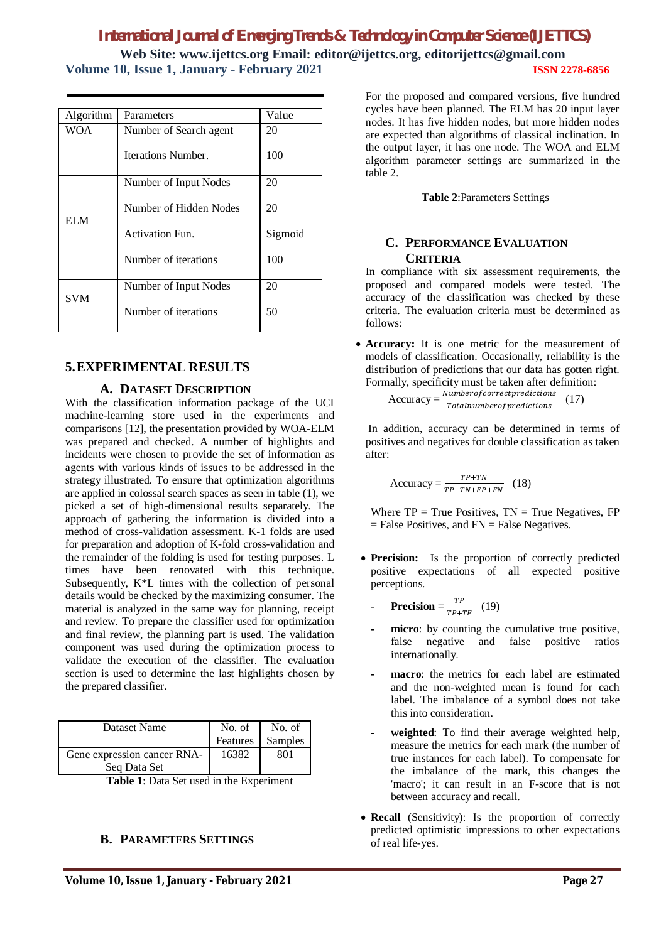# *International Journal of Emerging Trends & Technology in Computer Science (IJETTCS)* **Web Site: www.ijettcs.org Email: editor@ijettcs.org, editorijettcs@gmail.com**

**Volume 10, Issue 1, January - February 2021 ISSN 2278-6856**

| Volume IV, ISSUE I, January - February 2021 |  |
|---------------------------------------------|--|
|                                             |  |
|                                             |  |

| Algorithm  | Parameters             | Value   |
|------------|------------------------|---------|
| WOA        | Number of Search agent | 20      |
|            | Iterations Number.     | 100     |
|            | Number of Input Nodes  | 20      |
| EL M       | Number of Hidden Nodes | 20      |
|            | <b>Activation Fun.</b> | Sigmoid |
|            | Number of iterations   | 100     |
|            | Number of Input Nodes  | 20      |
| <b>SVM</b> | Number of iterations   | 50      |

# **5.EXPERIMENTAL RESULTS**

### **A. DATASET DESCRIPTION**

With the classification information package of the UCI machine-learning store used in the experiments and comparisons [12], the presentation provided by WOA-ELM was prepared and checked. A number of highlights and incidents were chosen to provide the set of information as agents with various kinds of issues to be addressed in the strategy illustrated. To ensure that optimization algorithms are applied in colossal search spaces as seen in table (1), we picked a set of high-dimensional results separately. The approach of gathering the information is divided into a method of cross-validation assessment. K-1 folds are used for preparation and adoption of K-fold cross-validation and the remainder of the folding is used for testing purposes. L times have been renovated with this technique. Subsequently, K\*L times with the collection of personal details would be checked by the maximizing consumer. The material is analyzed in the same way for planning, receipt and review. To prepare the classifier used for optimization and final review, the planning part is used. The validation component was used during the optimization process to validate the execution of the classifier. The evaluation section is used to determine the last highlights chosen by the prepared classifier.

| Dataset Name                | No. of   | No. of  |
|-----------------------------|----------|---------|
|                             | Features | Samples |
| Gene expression cancer RNA- | 16382    | 801     |
| Seq Data Set                |          |         |

**Table 1**: Data Set used in the Experiment

# **B. PARAMETERS SETTINGS**

For the proposed and compared versions, five hundred cycles have been planned. The ELM has 20 input layer nodes. It has five hidden nodes, but more hidden nodes are expected than algorithms of classical inclination. In the output layer, it has one node. The WOA and ELM algorithm parameter settings are summarized in the table 2.

**Table 2**:Parameters Settings

### **C. PERFORMANCE EVALUATION CRITERIA**

In compliance with six assessment requirements, the proposed and compared models were tested. The accuracy of the classification was checked by these criteria. The evaluation criteria must be determined as follows:

 **Accuracy:** It is one metric for the measurement of models of classification. Occasionally, reliability is the distribution of predictions that our data has gotten right. Formally, specificity must be taken after definition:

 $Accuracy = \frac{Numberofcorrect predictions}{Totalnumberof predictions}$ (17)

In addition, accuracy can be determined in terms of positives and negatives for double classification as taken after:

$$
Accuracy = \frac{TP + TN}{TP + TN + FP + FN}
$$
 (18)

Where  $TP = True$  Positives,  $TN = True$  Negatives,  $FP$  $=$  False Positives, and FN  $=$  False Negatives.

- Precision: Is the proportion of correctly predicted positive expectations of all expected positive perceptions.
	- **- Precision** = ்  $\frac{11}{TP+TF}$  (19)
	- **- micro**: by counting the cumulative true positive, false negative and false positive ratios internationally.
	- **- macro**: the metrics for each label are estimated and the non-weighted mean is found for each label. The imbalance of a symbol does not take this into consideration.
	- **- weighted**: To find their average weighted help, measure the metrics for each mark (the number of true instances for each label). To compensate for the imbalance of the mark, this changes the 'macro'; it can result in an F-score that is not between accuracy and recall.
- Recall (Sensitivity): Is the proportion of correctly predicted optimistic impressions to other expectations of real life-yes.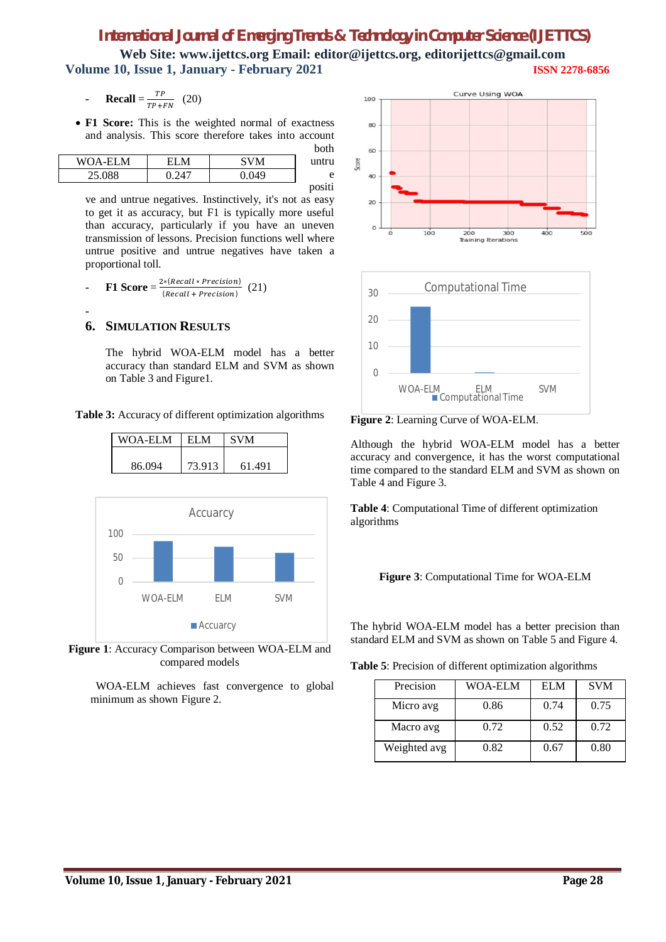# *International Journal of Emerging Trends & Technology in Computer Science (IJETTCS)*

**Web Site: www.ijettcs.org Email: editor@ijettcs.org, editorijettcs@gmail.com Volume 10, Issue 1, January - February 2021 ISSN 2278-6856**

- **- Recall** =  $\frac{TP}{TP+P}$  $\frac{11}{TP+FN}$  (20)
- **F1 Score:** This is the weighted normal of exactness and analysis. This score therefore takes into account  $b = 1$

| <b>UUU</b> |       |       |                |
|------------|-------|-------|----------------|
| untru      | SVM   | EI M  | <b>WOA-ELM</b> |
| e          | 0.049 | 0.247 | 25.088         |
| positi     |       |       |                |

ve and untrue negatives. Instinctively, it's not as easy to get it as accuracy, but F1 is typically more useful than accuracy, particularly if you have an uneven transmission of lessons. Precision functions well where untrue positive and untrue negatives have taken a proportional toll.

**F1 Score** =  $\frac{2*(Recall + Precision)}{(Recall + Precision)}$ (Recall + Precision) (21)

#### **6. SIMULATION RESULTS**

**-**

The hybrid WOA-ELM model has a better accuracy than standard ELM and SVM as shown on Table 3 and Figure1.

**Table 3:** Accuracy of different optimization algorithms

| <b>WOA-ELM</b> |                | <b>ELM</b> | <b>SVM</b> |            |
|----------------|----------------|------------|------------|------------|
| 86.094         |                | 73.913     | 61.491     |            |
|                |                |            |            |            |
|                |                | Accuarcy   |            |            |
| 100            |                |            |            |            |
| 50             |                |            |            |            |
|                |                |            |            |            |
|                | <b>WOA-ELM</b> | ELM        |            | <b>SVM</b> |

**Figure 1**: Accuracy Comparison between WOA-ELM and compared models

 WOA-ELM achieves fast convergence to global minimum as shown Figure 2.

■ Accuarcy





**Figure 2**: Learning Curve of WOA-ELM.

Although the hybrid WOA-ELM model has a better accuracy and convergence, it has the worst computational time compared to the standard ELM and SVM as shown on Table 4 and Figure 3.

**Table 4**: Computational Time of different optimization algorithms



The hybrid WOA-ELM model has a better precision than standard ELM and SVM as shown on Table 5 and Figure 4.

| Table 5: Precision of different optimization algorithms |  |  |  |
|---------------------------------------------------------|--|--|--|
|---------------------------------------------------------|--|--|--|

| Precision    | WOA-ELM | <b>ELM</b> | <b>SVM</b> |
|--------------|---------|------------|------------|
| Micro avg    | 0.86    | 0.74       | 0.75       |
| Macro avg    | 0.72    | 0.52       | 0.72       |
| Weighted avg | 0.82    | 0.67       | 0.80       |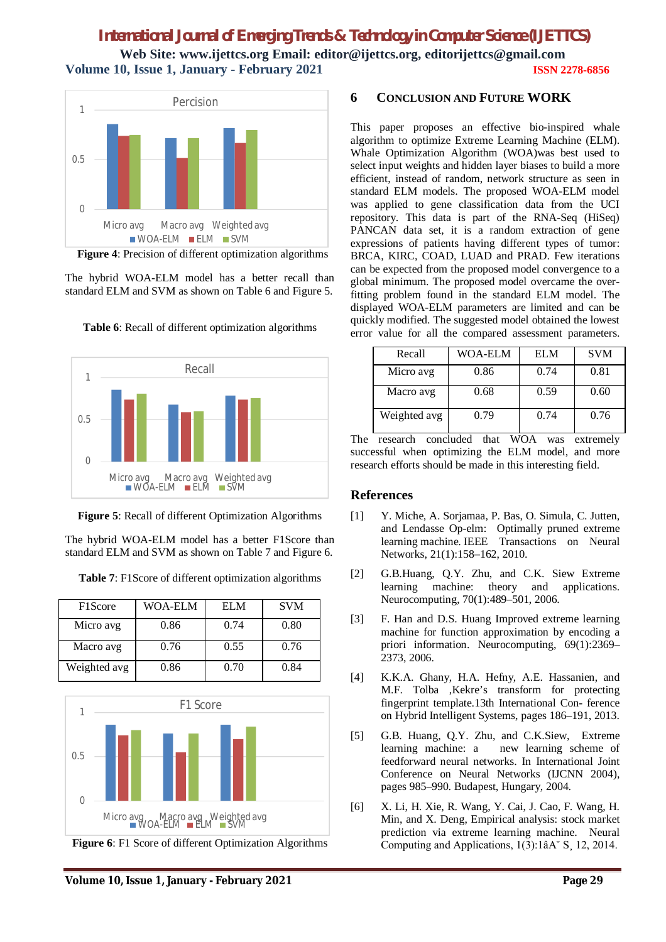

 **Figure 4**: Precision of different optimization algorithms

The hybrid WOA-ELM model has a better recall than standard ELM and SVM as shown on Table 6 and Figure 5.



**Table 6**: Recall of different optimization algorithms



The hybrid WOA-ELM model has a better F1Score than standard ELM and SVM as shown on Table 7 and Figure 6.

**Table 7**: F1Score of different optimization algorithms

| F1Score      | <b>WOA-ELM</b> | EL M | <b>SVM</b> |
|--------------|----------------|------|------------|
| Micro avg    | 0.86           | 0.74 | 0.80       |
| Macro avg    | 0.76           | 0.55 | 0.76       |
| Weighted avg | 0.86           | 0.70 | 0.84       |



**Figure 6**: F1 Score of different Optimization Algorithms

### **6 CONCLUSION AND FUTURE WORK**

This paper proposes an effective bio-inspired whale algorithm to optimize Extreme Learning Machine (ELM). Whale Optimization Algorithm (WOA)was best used to select input weights and hidden layer biases to build a more efficient, instead of random, network structure as seen in standard ELM models. The proposed WOA-ELM model was applied to gene classification data from the UCI repository. This data is part of the RNA-Seq (HiSeq) PANCAN data set, it is a random extraction of gene expressions of patients having different types of tumor: BRCA, KIRC, COAD, LUAD and PRAD. Few iterations can be expected from the proposed model convergence to a global minimum. The proposed model overcame the overfitting problem found in the standard ELM model. The displayed WOA-ELM parameters are limited and can be quickly modified. The suggested model obtained the lowest error value for all the compared assessment parameters.

| Recall       | <b>WOA-ELM</b> | <b>ELM</b> | <b>SVM</b> |
|--------------|----------------|------------|------------|
| Micro avg    | 0.86           | 0.74       | 0.81       |
| Macro avg    | 0.68           | 0.59       | 0.60       |
| Weighted avg | 0.79           | 0.74       | 0.76       |

The research concluded that WOA was extremely successful when optimizing the ELM model, and more research efforts should be made in this interesting field.

# **References**

- [1] Y. Miche, A. Sorjamaa, P. Bas, O. Simula, C. Jutten, and Lendasse Op-elm: Optimally pruned extreme learning machine. IEEE Transactions on Neural Networks, 21(1):158–162, 2010.
- [2] G.B.Huang, Q.Y. Zhu, and C.K. Siew Extreme learning machine: theory and applications. Neurocomputing, 70(1):489–501, 2006.
- [3] F. Han and D.S. Huang Improved extreme learning machine for function approximation by encoding a priori information. Neurocomputing, 69(1):2369– 2373, 2006.
- [4] K.K.A. Ghany, H.A. Hefny, A.E. Hassanien, and M.F. Tolba ,Kekre's transform for protecting fingerprint template.13th International Con- ference on Hybrid Intelligent Systems, pages 186–191, 2013.
- [5] G.B. Huang, Q.Y. Zhu, and C.K.Siew, Extreme learning machine: a new learning scheme of feedforward neural networks. In International Joint Conference on Neural Networks (IJCNN 2004), pages 985–990. Budapest, Hungary, 2004.
- [6] X. Li, H. Xie, R. Wang, Y. Cai, J. Cao, F. Wang, H. Min, and X. Deng, Empirical analysis: stock market prediction via extreme learning machine. Neural Computing and Applications, 1(3):1âA˘ S¸ 12, 2014.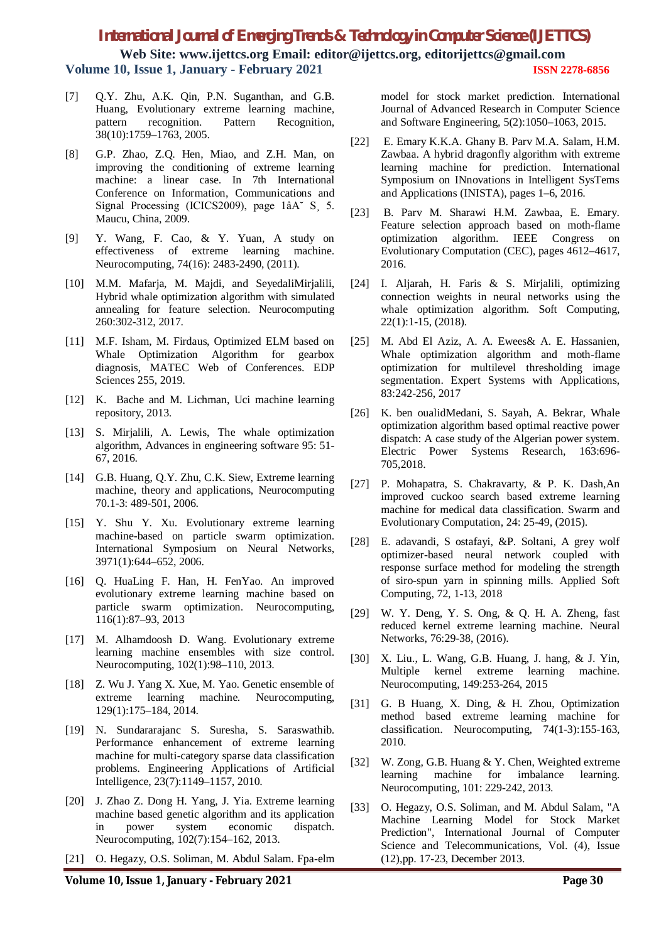# *International Journal of Emerging Trends & Technology in Computer Science (IJETTCS)*

**Web Site: www.ijettcs.org Email: editor@ijettcs.org, editorijettcs@gmail.com Volume 10, Issue 1, January - February 2021 ISSN 2278-6856**

- [7] Q.Y. Zhu, A.K. Qin, P.N. Suganthan, and G.B. Huang, Evolutionary extreme learning machine, pattern recognition. Pattern Recognition, 38(10):1759–1763, 2005.
- [8] G.P. Zhao, Z.Q. Hen, Miao, and Z.H. Man, on improving the conditioning of extreme learning machine: a linear case. In 7th International Conference on Information, Communications and Signal Processing (ICICS2009), page 1âA<sup> $\degree$ </sup> S<sub>1</sub> 5. Maucu, China, 2009.
- [9] Y. Wang, F. Cao, & Y. Yuan, A study on effectiveness of extreme learning machine. Neurocomputing, 74(16): 2483-2490, (2011).
- [10] M.M. Mafarja, M. Majdi, and SeyedaliMirjalili, Hybrid whale optimization algorithm with simulated annealing for feature selection. Neurocomputing 260:302-312, 2017.
- [11] M.F. Isham, M. Firdaus, Optimized ELM based on Whale Optimization Algorithm for gearbox diagnosis, MATEC Web of Conferences. EDP Sciences 255, 2019.
- [12] K. Bache and M. Lichman, Uci machine learning repository, 2013.
- [13] S. Mirjalili, A. Lewis, The whale optimization algorithm, Advances in engineering software 95: 51- 67, 2016.
- [14] G.B. Huang, O.Y. Zhu, C.K. Siew, Extreme learning machine, theory and applications, Neurocomputing 70.1-3: 489-501, 2006.
- [15] Y. Shu Y. Xu. Evolutionary extreme learning machine-based on particle swarm optimization. International Symposium on Neural Networks, 3971(1):644–652, 2006.
- [16] Q. HuaLing F. Han, H. FenYao. An improved evolutionary extreme learning machine based on particle swarm optimization. Neurocomputing, 116(1):87–93, 2013
- [17] M. Alhamdoosh D. Wang. Evolutionary extreme learning machine ensembles with size control. Neurocomputing, 102(1):98–110, 2013.
- [18] Z. Wu J. Yang X. Xue, M. Yao. Genetic ensemble of extreme learning machine. Neurocomputing, 129(1):175–184, 2014.
- [19] N. Sundararajanc S. Suresha, S. Saraswathib. Performance enhancement of extreme learning machine for multi-category sparse data classification problems. Engineering Applications of Artificial Intelligence, 23(7):1149–1157, 2010.
- [20] J. Zhao Z. Dong H. Yang, J. Yia. Extreme learning machine based genetic algorithm and its application<br>in power system economic dispatch. in power system economic dispatch. Neurocomputing, 102(7):154–162, 2013.
- [21] O. Hegazy, O.S. Soliman, M. Abdul Salam. Fpa-elm

model for stock market prediction. International Journal of Advanced Research in Computer Science and Software Engineering, 5(2):1050–1063, 2015.

- [22] E. Emary K.K.A. Ghany B. Parv M.A. Salam, H.M. Zawbaa. A hybrid dragonfly algorithm with extreme learning machine for prediction. International Symposium on INnovations in Intelligent SysTems and Applications (INISTA), pages 1–6, 2016.
- [23] B. Parv M. Sharawi H.M. Zawbaa, E. Emary. Feature selection approach based on moth-flame optimization algorithm. IEEE Congress on Evolutionary Computation (CEC), pages 4612–4617, 2016.
- [24] I. Aljarah, H. Faris & S. Mirjalili, optimizing connection weights in neural networks using the whale optimization algorithm. Soft Computing, 22(1):1-15, (2018).
- [25] M. Abd El Aziz, A. A. Ewees& A. E. Hassanien, Whale optimization algorithm and moth-flame optimization for multilevel thresholding image segmentation. Expert Systems with Applications, 83:242-256, 2017
- [26] K. ben oualidMedani, S. Sayah, A. Bekrar, Whale optimization algorithm based optimal reactive power dispatch: A case study of the Algerian power system. Electric Power Systems Research, 163:696- 705,2018.
- [27] P. Mohapatra, S. Chakravarty, & P. K. Dash,An improved cuckoo search based extreme learning machine for medical data classification. Swarm and Evolutionary Computation, 24: 25-49, (2015).
- [28] E. adavandi, S ostafayi, &P. Soltani, A grey wolf optimizer-based neural network coupled with response surface method for modeling the strength of siro-spun yarn in spinning mills. Applied Soft Computing, 72, 1-13, 2018
- [29] W. Y. Deng, Y. S. Ong, & Q. H. A. Zheng, fast reduced kernel extreme learning machine. Neural Networks, 76:29-38, (2016).
- [30] X. Liu., L. Wang, G.B. Huang, J. hang, & J. Yin, Multiple kernel extreme learning machine. Neurocomputing, 149:253-264, 2015
- [31] G. B Huang, X. Ding, & H. Zhou, Optimization method based extreme learning machine for classification. Neurocomputing, 74(1-3):155-163, 2010.
- [32] W. Zong, G.B. Huang & Y. Chen, Weighted extreme learning machine for imbalance learning. Neurocomputing, 101: 229-242, 2013.
- [33] O. Hegazy, O.S. Soliman, and M. Abdul Salam, "A Machine Learning Model for Stock Market Prediction", International Journal of Computer Science and Telecommunications, Vol. (4), Issue (12),pp. 17-23, December 2013.